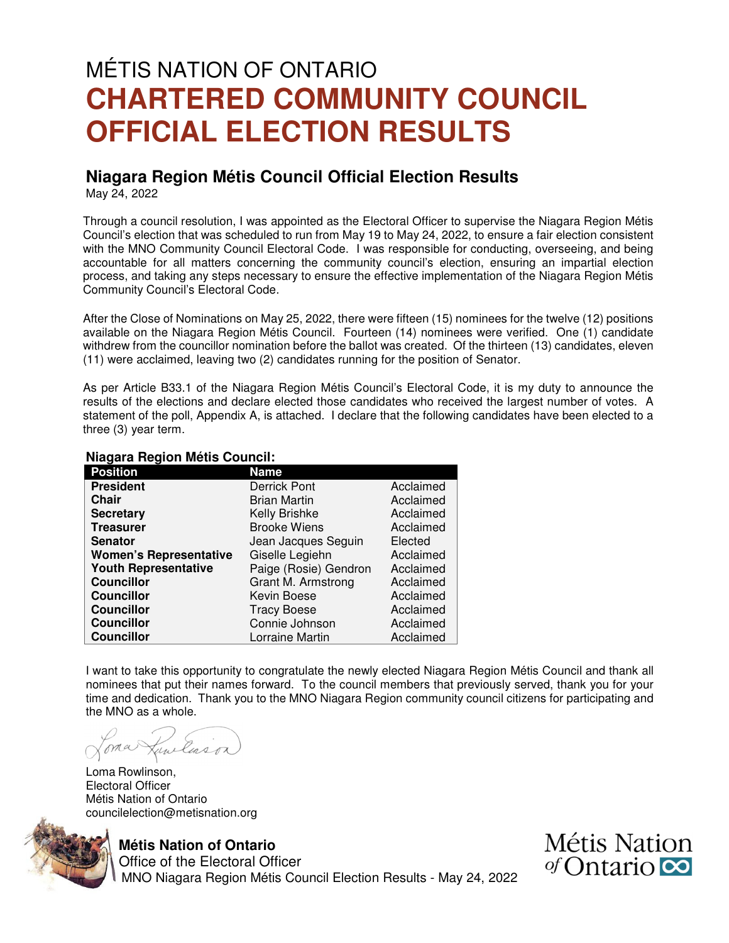# MÉTIS NATION OF ONTARIO **CHARTERED COMMUNITY COUNCIL OFFICIAL ELECTION RESULTS**

## **Niagara Region Métis Council Official Election Results**

May 24, 2022

Through a council resolution, I was appointed as the Electoral Officer to supervise the Niagara Region Métis Council's election that was scheduled to run from May 19 to May 24, 2022, to ensure a fair election consistent with the MNO Community Council Electoral Code. I was responsible for conducting, overseeing, and being accountable for all matters concerning the community council's election, ensuring an impartial election process, and taking any steps necessary to ensure the effective implementation of the Niagara Region Métis Community Council's Electoral Code.

After the Close of Nominations on May 25, 2022, there were fifteen (15) nominees for the twelve (12) positions available on the Niagara Region Métis Council. Fourteen (14) nominees were verified. One (1) candidate withdrew from the councillor nomination before the ballot was created. Of the thirteen (13) candidates, eleven (11) were acclaimed, leaving two (2) candidates running for the position of Senator.

As per Article B33.1 of the Niagara Region Métis Council's Electoral Code, it is my duty to announce the results of the elections and declare elected those candidates who received the largest number of votes. A statement of the poll, Appendix A, is attached. I declare that the following candidates have been elected to a three (3) year term.

#### **Niagara Region Métis Council:**

| <b>Position</b>               | <b>Name</b>                    |           |
|-------------------------------|--------------------------------|-----------|
| <b>President</b>              | <b>Derrick Pont</b>            | Acclaimed |
| <b>Chair</b>                  | <b>Brian Martin</b>            | Acclaimed |
| <b>Secretary</b>              | Kelly Brishke                  | Acclaimed |
| <b>Treasurer</b>              | <b>Brooke Wiens</b>            | Acclaimed |
| <b>Senator</b>                | Jean Jacques Seguin<br>Elected |           |
| <b>Women's Representative</b> | Giselle Legiehn<br>Acclaimed   |           |
| <b>Youth Representative</b>   | Paige (Rosie) Gendron          | Acclaimed |
| <b>Councillor</b>             | Grant M. Armstrong             | Acclaimed |
| <b>Councillor</b>             | Kevin Boese                    | Acclaimed |
| <b>Councillor</b>             | <b>Tracy Boese</b>             | Acclaimed |
| <b>Councillor</b>             | Connie Johnson                 | Acclaimed |
| <b>Councillor</b>             | Lorraine Martin                | Acclaimed |

I want to take this opportunity to congratulate the newly elected Niagara Region Métis Council and thank all nominees that put their names forward. To the council members that previously served, thank you for your time and dedication. Thank you to the MNO Niagara Region community council citizens for participating and the MNO as a whole.

ancluso.

Loma Rowlinson, Electoral Officer Métis Nation of Ontario councilelection@metisnation.org



#### **Métis Nation of Ontario**

 Office of the Electoral Officer MNO Niagara Region Métis Council Election Results - May 24, 2022